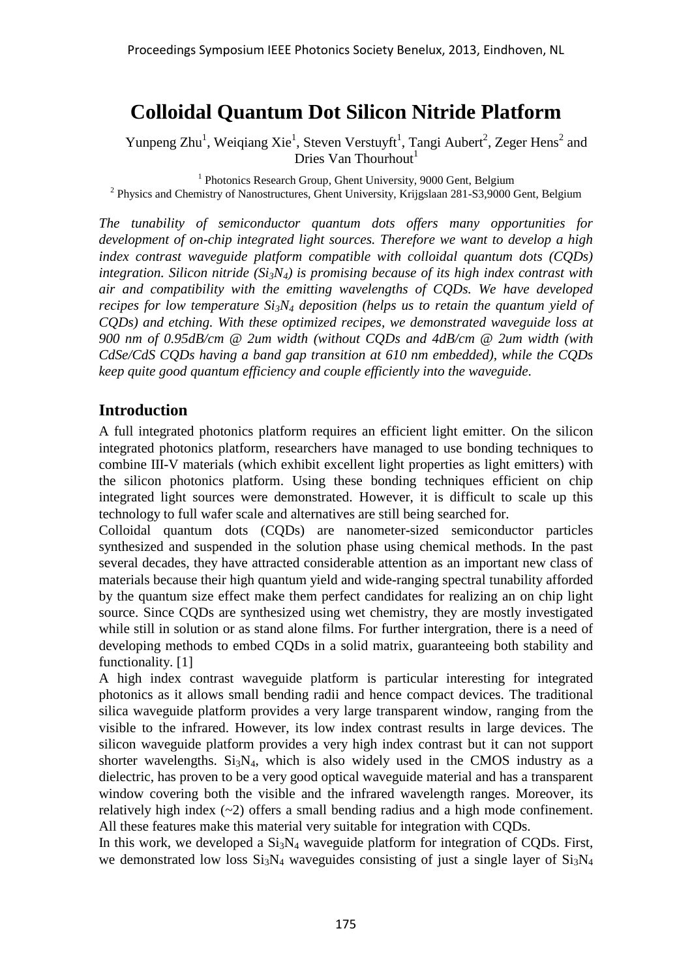# **Colloidal Quantum Dot Silicon Nitride Platform**

Yunpeng Zhu<sup>1</sup>, Weiqiang Xie<sup>1</sup>, Steven Verstuyft<sup>1</sup>, Tangi Aubert<sup>2</sup>, Zeger Hens<sup>2</sup> and Dries Van Thourhout<sup>1</sup>

<sup>1</sup> Photonics Research Group, Ghent University, 9000 Gent, Belgium <sup>2</sup> Physics and Chemistry of Nanostructures, Ghent University, Krijgslaan 281-S3,9000 Gent, Belgium

*The tunability of semiconductor quantum dots offers many opportunities for development of on-chip integrated light sources. Therefore we want to develop a high index contrast waveguide platform compatible with colloidal quantum dots (CQDs) integration. Silicon nitride (Si3N4) is promising because of its high index contrast with air and compatibility with the emitting wavelengths of CQDs. We have developed recipes for low temperature Si3N<sup>4</sup> deposition (helps us to retain the quantum yield of CQDs) and etching. With these optimized recipes, we demonstrated waveguide loss at 900 nm of 0.95dB/cm @ 2um width (without CQDs and 4dB/cm @ 2um width (with CdSe/CdS CQDs having a band gap transition at 610 nm embedded), while the CQDs keep quite good quantum efficiency and couple efficiently into the waveguide.*

### **Introduction**

A full integrated photonics platform requires an efficient light emitter. On the silicon integrated photonics platform, researchers have managed to use bonding techniques to combine III-V materials (which exhibit excellent light properties as light emitters) with the silicon photonics platform. Using these bonding techniques efficient on chip integrated light sources were demonstrated. However, it is difficult to scale up this technology to full wafer scale and alternatives are still being searched for.

Colloidal quantum dots (CQDs) are nanometer-sized semiconductor particles synthesized and suspended in the solution phase using chemical methods. In the past several decades, they have attracted considerable attention as an important new class of materials because their high quantum yield and wide-ranging spectral tunability afforded by the quantum size effect make them perfect candidates for realizing an on chip light source. Since CQDs are synthesized using wet chemistry, they are mostly investigated while still in solution or as stand alone films. For further intergration, there is a need of developing methods to embed CQDs in a solid matrix, guaranteeing both stability and functionality. [1]

A high index contrast waveguide platform is particular interesting for integrated photonics as it allows small bending radii and hence compact devices. The traditional silica waveguide platform provides a very large transparent window, ranging from the visible to the infrared. However, its low index contrast results in large devices. The silicon waveguide platform provides a very high index contrast but it can not support shorter wavelengths.  $Si<sub>3</sub>N<sub>4</sub>$ , which is also widely used in the CMOS industry as a dielectric, has proven to be a very good optical waveguide material and has a transparent window covering both the visible and the infrared wavelength ranges. Moreover, its relatively high index (~2) offers a small bending radius and a high mode confinement. All these features make this material very suitable for integration with CQDs.

In this work, we developed a  $Si<sub>3</sub>N<sub>4</sub>$  waveguide platform for integration of CQDs. First, we demonstrated low loss  $Si_3N_4$  waveguides consisting of just a single layer of  $Si_3N_4$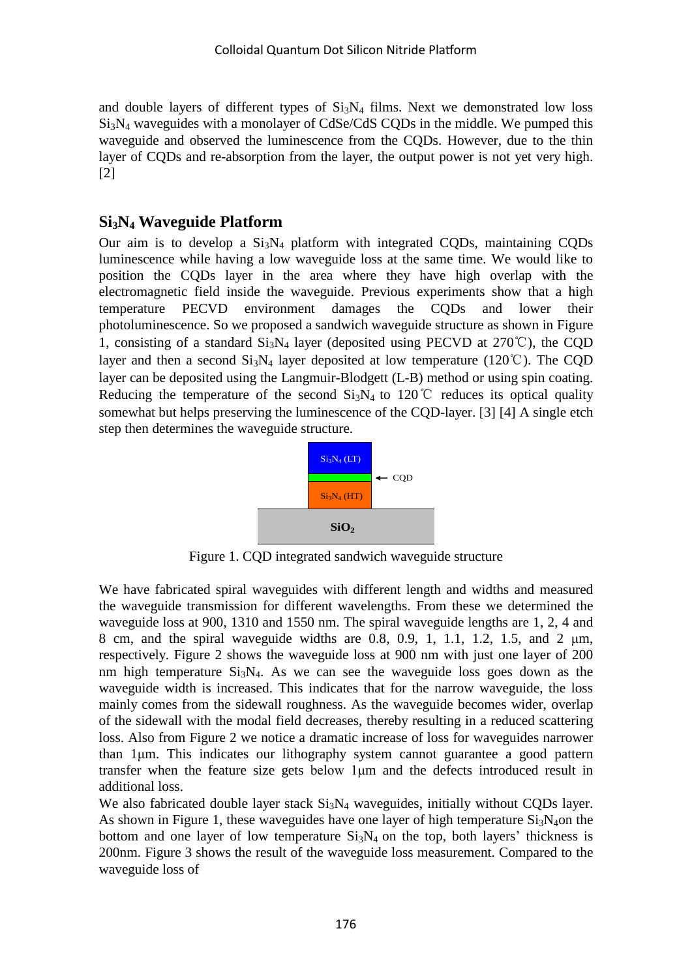and double layers of different types of  $Si<sub>3</sub>N<sub>4</sub>$  films. Next we demonstrated low loss  $Si<sub>3</sub>N<sub>4</sub>$  waveguides with a monolayer of CdSe/CdS CODs in the middle. We pumped this waveguide and observed the luminescence from the CQDs. However, due to the thin layer of CQDs and re-absorption from the layer, the output power is not yet very high. [2]

## **Si3N<sup>4</sup> Waveguide Platform**

Our aim is to develop a  $Si<sub>3</sub>N<sub>4</sub>$  platform with integrated CQDs, maintaining CQDs luminescence while having a low waveguide loss at the same time. We would like to position the CQDs layer in the area where they have high overlap with the electromagnetic field inside the waveguide. Previous experiments show that a high temperature PECVD environment damages the CQDs and lower their photoluminescence. So we proposed a sandwich waveguide structure as shown in Figure 1, consisting of a standard  $Si_3N_4$  layer (deposited using PECVD at 270°C), the COD layer and then a second  $Si_3N_4$  layer deposited at low temperature (120°C). The CQD layer can be deposited using the Langmuir-Blodgett (L-B) method or using spin coating. Reducing the temperature of the second  $Si<sub>3</sub>N<sub>4</sub>$  to 120°C reduces its optical quality somewhat but helps preserving the luminescence of the CQD-layer. [3] [4] A single etch step then determines the waveguide structure.



Figure 1. CQD integrated sandwich waveguide structure

We have fabricated spiral waveguides with different length and widths and measured the waveguide transmission for different wavelengths. From these we determined the waveguide loss at 900, 1310 and 1550 nm. The spiral waveguide lengths are 1, 2, 4 and 8 cm, and the spiral waveguide widths are 0.8, 0.9, 1, 1.1, 1.2, 1.5, and 2 μm, respectively. Figure 2 shows the waveguide loss at 900 nm with just one layer of 200 nm high temperature  $Si_3N_4$ . As we can see the waveguide loss goes down as the waveguide width is increased. This indicates that for the narrow waveguide, the loss mainly comes from the sidewall roughness. As the waveguide becomes wider, overlap of the sidewall with the modal field decreases, thereby resulting in a reduced scattering loss. Also from Figure 2 we notice a dramatic increase of loss for waveguides narrower than 1μm. This indicates our lithography system cannot guarantee a good pattern transfer when the feature size gets below 1μm and the defects introduced result in additional loss.

We also fabricated double layer stack  $Si<sub>3</sub>N<sub>4</sub>$  waveguides, initially without CQDs layer. As shown in Figure 1, these waveguides have one layer of high temperature  $Si<sub>3</sub>N<sub>4</sub>$ on the bottom and one layer of low temperature  $Si<sub>3</sub>N<sub>4</sub>$  on the top, both layers' thickness is 200nm. Figure 3 shows the result of the waveguide loss measurement. Compared to the waveguide loss of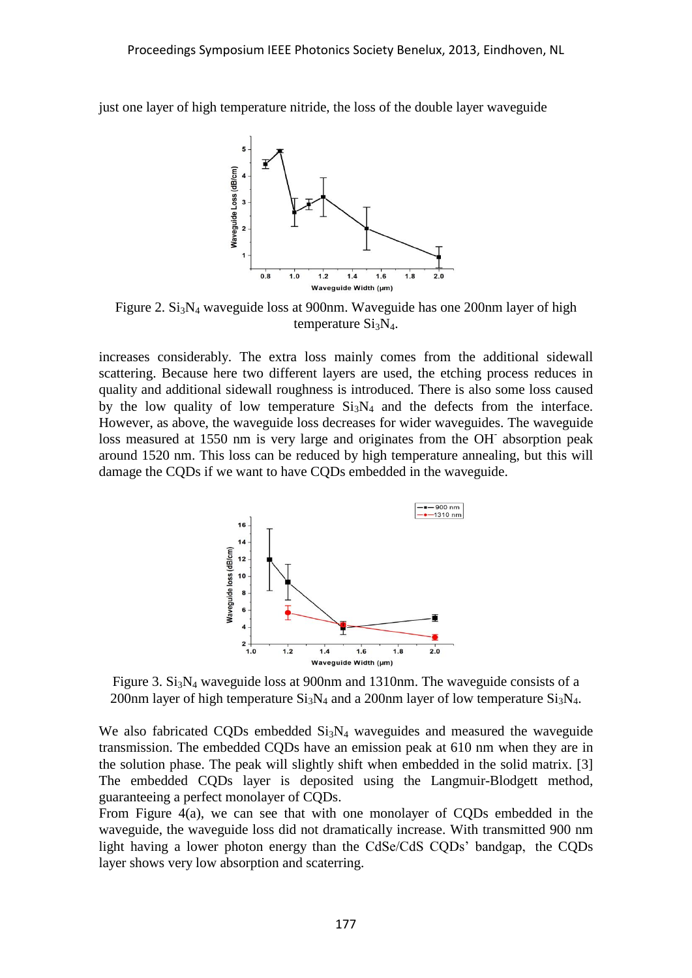just one layer of high temperature nitride, the loss of the double layer waveguide



Figure 2.  $Si<sub>3</sub>N<sub>4</sub>$  waveguide loss at 900nm. Waveguide has one 200nm layer of high temperature  $Si<sub>3</sub>N<sub>4</sub>$ .

increases considerably. The extra loss mainly comes from the additional sidewall scattering. Because here two different layers are used, the etching process reduces in quality and additional sidewall roughness is introduced. There is also some loss caused by the low quality of low temperature  $Si<sub>3</sub>N<sub>4</sub>$  and the defects from the interface. However, as above, the waveguide loss decreases for wider waveguides. The waveguide loss measured at 1550 nm is very large and originates from the OH<sup>-</sup> absorption peak around 1520 nm. This loss can be reduced by high temperature annealing, but this will damage the CQDs if we want to have CQDs embedded in the waveguide.



Figure 3.  $Si<sub>3</sub>N<sub>4</sub>$  waveguide loss at 900nm and 1310nm. The waveguide consists of a 200nm layer of high temperature  $Si<sub>3</sub>N<sub>4</sub>$  and a 200nm layer of low temperature  $Si<sub>3</sub>N<sub>4</sub>$ .

We also fabricated CODs embedded  $Si<sub>3</sub>N<sub>4</sub>$  waveguides and measured the waveguide transmission. The embedded CQDs have an emission peak at 610 nm when they are in the solution phase. The peak will slightly shift when embedded in the solid matrix. [3] The embedded CQDs layer is deposited using the Langmuir-Blodgett method, guaranteeing a perfect monolayer of CQDs.

From Figure 4(a), we can see that with one monolayer of CQDs embedded in the waveguide, the waveguide loss did not dramatically increase. With transmitted 900 nm light having a lower photon energy than the CdSe/CdS CQDs' bandgap, the CQDs layer shows very low absorption and scaterring.